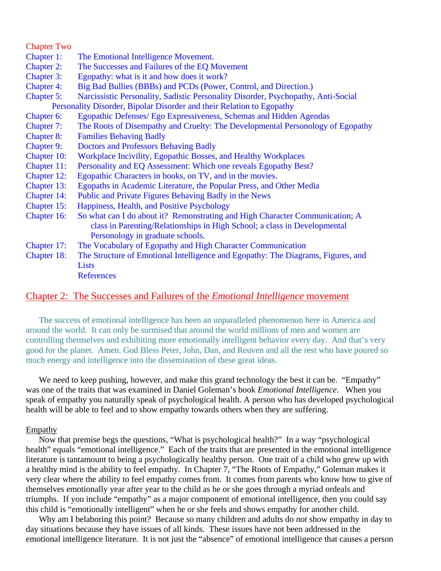| <b>Chapter Two</b> |                                                                                   |  |  |
|--------------------|-----------------------------------------------------------------------------------|--|--|
| Chapter 1:         | The Emotional Intelligence Movement.                                              |  |  |
| <b>Chapter 2:</b>  | The Successes and Failures of the EQ Movement                                     |  |  |
| <b>Chapter 3:</b>  | Egopathy: what is it and how does it work?                                        |  |  |
| <b>Chapter 4:</b>  | Big Bad Bullies (BBBs) and PCDs (Power, Control, and Direction.)                  |  |  |
| <b>Chapter 5:</b>  | Narcissistic Personality, Sadistic Personality Disorder, Psychopathy, Anti-Social |  |  |
|                    | Personality Disorder, Bipolar Disorder and their Relation to Egopathy             |  |  |
| Chapter 6:         | Egopathic Defenses/ Ego Expressiveness, Schemas and Hidden Agendas                |  |  |
| Chapter 7:         | The Roots of Disempathy and Cruelty: The Developmental Personology of Egopathy    |  |  |
| <b>Chapter 8:</b>  | <b>Families Behaving Badly</b>                                                    |  |  |
| <b>Chapter 9:</b>  | <b>Doctors and Professors Behaving Badly</b>                                      |  |  |
| Chapter 10:        | Workplace Incivility, Egopathic Bosses, and Healthy Workplaces                    |  |  |
| Chapter 11:        | Personality and EQ Assessment: Which one reveals Egopathy Best?                   |  |  |
| Chapter 12:        | Egopathic Characters in books, on TV, and in the movies.                          |  |  |
| Chapter 13:        | Egopaths in Academic Literature, the Popular Press, and Other Media               |  |  |
| Chapter 14:        | Public and Private Figures Behaving Badly in the News                             |  |  |
| Chapter 15:        | Happiness, Health, and Positive Psychology                                        |  |  |
| Chapter 16:        | So what can I do about it? Remonstrating and High Character Communication; A      |  |  |
|                    | class in Parenting/Relationships in High School; a class in Developmental         |  |  |
|                    | Personology in graduate schools.                                                  |  |  |
| Chapter 17:        | The Vocabulary of Egopathy and High Character Communication                       |  |  |
| Chapter 18:        | The Structure of Emotional Intelligence and Egopathy: The Diagrams, Figures, and  |  |  |
|                    | Lists                                                                             |  |  |
|                    | <b>References</b>                                                                 |  |  |

# Chapter 2: The Successes and Failures of the *Emotional Intelligence* movement

The success of emotional intelligence has been an unparalleled phenomenon here in America and around the world. It can only be surmised that around the world millions of men and women are controlling themselves and exhibiting more emotionally intelligent behavior every day. And that's very good for the planet. Amen. God Bless Peter, John, Dan, and Reuven and all the rest who have poured so much energy and intelligence into the dissemination of these great ideas.

We need to keep pushing, however, and make this grand technology the best it can be. "Empathy" was one of the traits that was examined in Daniel Goleman's book *Emotional Intelligence*. When you speak of empathy you naturally speak of psychological health. A person who has developed psychological health will be able to feel and to show empathy towards others when they are suffering.

## Empathy

 Now that premise begs the questions, "What is psychological health?" In a way "psychological health" equals "emotional intelligence." Each of the traits that are presented in the emotional intelligence literature is tantamount to being a psychologically healthy person. One trait of a child who grew up with a healthy mind is the ability to feel empathy. In Chapter 7, "The Roots of Empathy," Goleman makes it very clear where the ability to feel empathy comes from. It comes from parents who know how to give of themselves emotionally year after year to the child as he or she goes through a myriad ordeals and triumphs. If you include "empathy" as a major component of emotional intelligence, then you could say this child is "emotionally intelligent" when he or she feels and shows empathy for another child.

 Why am I belaboring this point? Because so many children and adults do *not* show empathy in day to day situations because they have issues of all kinds. These issues have not been addressed in the emotional intelligence literature. It is not just the "absence" of emotional intelligence that causes a person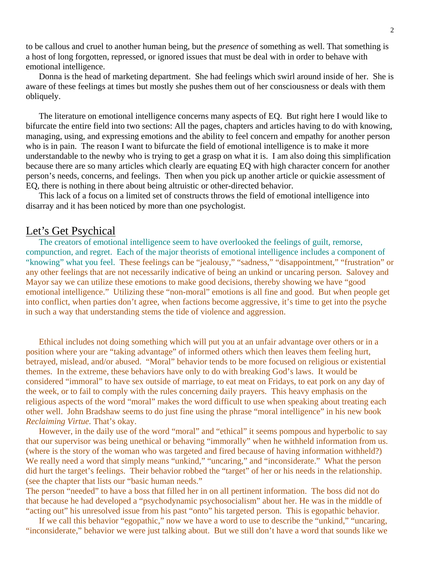to be callous and cruel to another human being, but the *presence* of something as well. That something is a host of long forgotten, repressed, or ignored issues that must be deal with in order to behave with emotional intelligence.

 Donna is the head of marketing department. She had feelings which swirl around inside of her. She is aware of these feelings at times but mostly she pushes them out of her consciousness or deals with them obliquely.

 The literature on emotional intelligence concerns many aspects of EQ. But right here I would like to bifurcate the entire field into two sections: All the pages, chapters and articles having to do with knowing, managing, using, and expressing emotions and the ability to feel concern and empathy for another person who is in pain. The reason I want to bifurcate the field of emotional intelligence is to make it more understandable to the newby who is trying to get a grasp on what it is. I am also doing this simplification because there are so many articles which clearly are equating EQ with high character concern for another person's needs, concerns, and feelings. Then when you pick up another article or quickie assessment of EQ, there is nothing in there about being altruistic or other-directed behavior.

 This lack of a focus on a limited set of constructs throws the field of emotional intelligence into disarray and it has been noticed by more than one psychologist.

# Let's Get Psychical

 The creators of emotional intelligence seem to have overlooked the feelings of guilt, remorse, compunction, and regret. Each of the major theorists of emotional intelligence includes a component of "knowing" what you feel. These feelings can be "jealousy," "sadness," "disappointment," "frustration" or any other feelings that are not necessarily indicative of being an unkind or uncaring person. Salovey and Mayor say we can utilize these emotions to make good decisions, thereby showing we have "good emotional intelligence." Utilizing these "non-moral" emotions is all fine and good. But when people get into conflict, when parties don't agree, when factions become aggressive, it's time to get into the psyche in such a way that understanding stems the tide of violence and aggression.

 Ethical includes not doing something which will put you at an unfair advantage over others or in a position where your are "taking advantage" of informed others which then leaves them feeling hurt, betrayed, mislead, and/or abused. "Moral" behavior tends to be more focused on religious or existential themes. In the extreme, these behaviors have only to do with breaking God's laws. It would be considered "immoral" to have sex outside of marriage, to eat meat on Fridays, to eat pork on any day of the week, or to fail to comply with the rules concerning daily prayers. This heavy emphasis on the religious aspects of the word "moral" makes the word difficult to use when speaking about treating each other well. John Bradshaw seems to do just fine using the phrase "moral intelligence" in his new book *Reclaiming Virtue.* That's okay.

 However, in the daily use of the word "moral" and "ethical" it seems pompous and hyperbolic to say that our supervisor was being unethical or behaving "immorally" when he withheld information from us. (where is the story of the woman who was targeted and fired because of having information withheld?) We really need a word that simply means "unkind," "uncaring," and "inconsiderate." What the person did hurt the target's feelings. Their behavior robbed the "target" of her or his needs in the relationship. (see the chapter that lists our "basic human needs."

The person "needed" to have a boss that filled her in on all pertinent information. The boss did not do that because he had developed a "psychodynamic psychosocialism" about her. He was in the middle of "acting out" his unresolved issue from his past "onto" his targeted person. This is egopathic behavior.

 If we call this behavior "egopathic," now we have a word to use to describe the "unkind," "uncaring, "inconsiderate," behavior we were just talking about. But we still don't have a word that sounds like we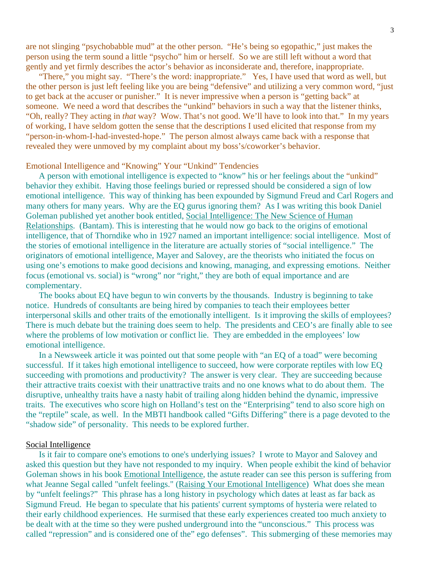are not slinging "psychobabble mud" at the other person. "He's being so egopathic," just makes the person using the term sound a little "psycho" him or herself. So we are still left without a word that gently and yet firmly describes the actor's behavior as inconsiderate and, therefore, inappropriate.

 "There," you might say. "There's the word: inappropriate." Yes, I have used that word as well, but the other person is just left feeling like you are being "defensive" and utilizing a very common word, "just to get back at the accuser or punisher." It is never impressive when a person is "getting back" at someone. We need a word that describes the "unkind" behaviors in such a way that the listener thinks, "Oh, really? They acting in *that* way? Wow. That's not good. We'll have to look into that." In my years of working, I have seldom gotten the sense that the descriptions I used elicited that response from my "person-in-whom-I-had-invested-hope." The person almost always came back with a response that revealed they were unmoved by my complaint about my boss's/coworker's behavior.

#### Emotional Intelligence and "Knowing" Your "Unkind" Tendencies

 A person with emotional intelligence is expected to "know" his or her feelings about the "unkind" behavior they exhibit. Having those feelings buried or repressed should be considered a sign of low emotional intelligence. This way of thinking has been expounded by Sigmund Freud and Carl Rogers and many others for many years. Why are the EQ gurus ignoring them? As I was writing this book Daniel Goleman published yet another book entitled, Social Intelligence: The New Science of Human Relationships. (Bantam). This is interesting that he would now go back to the origins of emotional intelligence, that of Thorndike who in 1927 named an important intelligence: social intelligence. Most of the stories of emotional intelligence in the literature are actually stories of "social intelligence." The originators of emotional intelligence, Mayer and Salovey, are the theorists who initiated the focus on using one's emotions to make good decisions and knowing, managing, and expressing emotions. Neither focus (emotional vs. social) is "wrong" nor "right," they are both of equal importance and are complementary.

 The books about EQ have begun to win converts by the thousands. Industry is beginning to take notice. Hundreds of consultants are being hired by companies to teach their employees better interpersonal skills and other traits of the emotionally intelligent. Is it improving the skills of employees? There is much debate but the training does seem to help. The presidents and CEO's are finally able to see where the problems of low motivation or conflict lie. They are embedded in the employees' low emotional intelligence.

 In a Newsweek article it was pointed out that some people with "an EQ of a toad" were becoming successful. If it takes high emotional intelligence to succeed, how were corporate reptiles with low EQ succeeding with promotions and productivity? The answer is very clear. They are succeeding because their attractive traits coexist with their unattractive traits and no one knows what to do about them. The disruptive, unhealthy traits have a nasty habit of trailing along hidden behind the dynamic, impressive traits. The executives who score high on Holland's test on the "Enterprising" tend to also score high on the "reptile" scale, as well. In the MBTI handbook called "Gifts Differing" there is a page devoted to the "shadow side" of personality. This needs to be explored further.

#### Social Intelligence

 Is it fair to compare one's emotions to one's underlying issues? I wrote to Mayor and Salovey and asked this question but they have not responded to my inquiry. When people exhibit the kind of behavior Goleman shows in his book Emotional Intelligence, the astute reader can see this person is suffering from what Jeanne Segal called "unfelt feelings." (Raising Your Emotional Intelligence) What does she mean by "unfelt feelings?" This phrase has a long history in psychology which dates at least as far back as Sigmund Freud. He began to speculate that his patients' current symptoms of hysteria were related to their early childhood experiences. He surmised that these early experiences created too much anxiety to be dealt with at the time so they were pushed underground into the "unconscious." This process was called "repression" and is considered one of the" ego defenses". This submerging of these memories may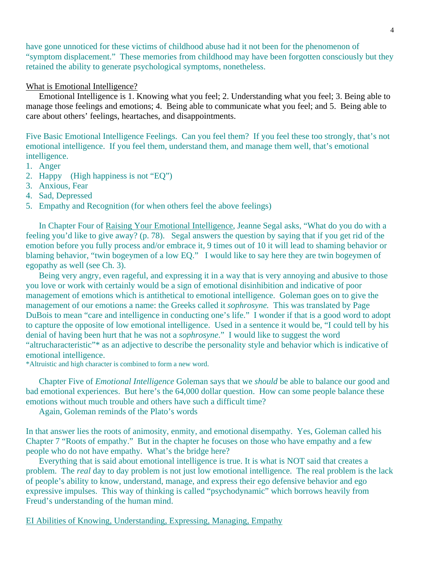have gone unnoticed for these victims of childhood abuse had it not been for the phenomenon of "symptom displacement." These memories from childhood may have been forgotten consciously but they retained the ability to generate psychological symptoms, nonetheless.

#### What is Emotional Intelligence?

 Emotional Intelligence is 1. Knowing what you feel; 2. Understanding what you feel; 3. Being able to manage those feelings and emotions; 4. Being able to communicate what you feel; and 5. Being able to care about others' feelings, heartaches, and disappointments.

Five Basic Emotional Intelligence Feelings. Can you feel them? If you feel these too strongly, that's not emotional intelligence. If you feel them, understand them, and manage them well, that's emotional intelligence.

- 1. Anger
- 2. Happy (High happiness is not "EQ")
- 3. Anxious, Fear
- 4. Sad, Depressed
- 5. Empathy and Recognition (for when others feel the above feelings)

 In Chapter Four of Raising Your Emotional Intelligence, Jeanne Segal asks, "What do you do with a feeling you'd like to give away? (p. 78). Segal answers the question by saying that if you get rid of the emotion before you fully process and/or embrace it, 9 times out of 10 it will lead to shaming behavior or blaming behavior, "twin bogeymen of a low EQ." I would like to say here they are twin bogeymen of egopathy as well (see Ch. 3).

 Being very angry, even rageful, and expressing it in a way that is very annoying and abusive to those you love or work with certainly would be a sign of emotional disinhibition and indicative of poor management of emotions which is antithetical to emotional intelligence. Goleman goes on to give the management of our emotions a name: the Greeks called it *sophrosyne.* This was translated by Page DuBois to mean "care and intelligence in conducting one's life." I wonder if that is a good word to adopt to capture the opposite of low emotional intelligence. Used in a sentence it would be, "I could tell by his denial of having been hurt that he was not a *sophrosyne*." I would like to suggest the word "altrucharacteristic"\* as an adjective to describe the personality style and behavior which is indicative of emotional intelligence.

\*Altruistic and high character is combined to form a new word.

 Chapter Five of *Emotional Intelligence* Goleman says that we *should* be able to balance our good and bad emotional experiences. But here's the 64,000 dollar question. How can some people balance these emotions without much trouble and others have such a difficult time?

Again, Goleman reminds of the Plato's words

In that answer lies the roots of animosity, enmity, and emotional disempathy. Yes, Goleman called his Chapter 7 "Roots of empathy." But in the chapter he focuses on those who have empathy and a few people who do not have empathy. What's the bridge here?

 Everything that is said about emotional intelligence is true. It is what is NOT said that creates a problem. The *real* day to day problem is not just low emotional intelligence. The real problem is the lack of people's ability to know, understand, manage, and express their ego defensive behavior and ego expressive impulses. This way of thinking is called "psychodynamic" which borrows heavily from Freud's understanding of the human mind.

EI Abilities of Knowing, Understanding, Expressing, Managing, Empathy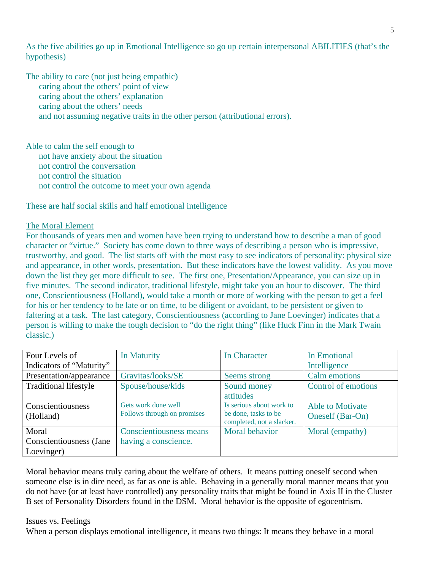As the five abilities go up in Emotional Intelligence so go up certain interpersonal ABILITIES (that's the hypothesis)

The ability to care (not just being empathic) caring about the others' point of view caring about the others' explanation caring about the others' needs and not assuming negative traits in the other person (attributional errors).

Able to calm the self enough to not have anxiety about the situation not control the conversation not control the situation not control the outcome to meet your own agenda

These are half social skills and half emotional intelligence

# The Moral Element

For thousands of years men and women have been trying to understand how to describe a man of good character or "virtue." Society has come down to three ways of describing a person who is impressive, trustworthy, and good. The list starts off with the most easy to see indicators of personality: physical size and appearance, in other words, presentation. But these indicators have the lowest validity. As you move down the list they get more difficult to see. The first one, Presentation/Appearance, you can size up in five minutes. The second indicator, traditional lifestyle, might take you an hour to discover. The third one, Conscientiousness (Holland), would take a month or more of working with the person to get a feel for his or her tendency to be late or on time, to be diligent or avoidant, to be persistent or given to faltering at a task. The last category, Conscientiousness (according to Jane Loevinger) indicates that a person is willing to make the tough decision to "do the right thing" (like Huck Finn in the Mark Twain classic.)

| Four Levels of               | In Maturity                    | In Character                                      | In Emotional            |
|------------------------------|--------------------------------|---------------------------------------------------|-------------------------|
| Indicators of "Maturity"     |                                |                                                   | Intelligence            |
| Presentation/appearance      | Gravitas/looks/SE              | Seems strong                                      | Calm emotions           |
| <b>Traditional lifestyle</b> | Spouse/house/kids              | Sound money                                       | Control of emotions     |
|                              |                                | attitudes                                         |                         |
| Conscientiousness            | Gets work done well            | Is serious about work to                          | <b>Able to Motivate</b> |
| (Holland)                    | Follows through on promises    | be done, tasks to be<br>completed, not a slacker. | Oneself (Bar-On)        |
| Moral                        | <b>Conscientiousness means</b> | Moral behavior                                    | Moral (empathy)         |
| Conscientiousness (Jane      | having a conscience.           |                                                   |                         |
| Loevinger)                   |                                |                                                   |                         |

Moral behavior means truly caring about the welfare of others. It means putting oneself second when someone else is in dire need, as far as one is able. Behaving in a generally moral manner means that you do not have (or at least have controlled) any personality traits that might be found in Axis II in the Cluster B set of Personality Disorders found in the DSM. Moral behavior is the opposite of egocentrism.

## Issues vs. Feelings

When a person displays emotional intelligence, it means two things: It means they behave in a moral